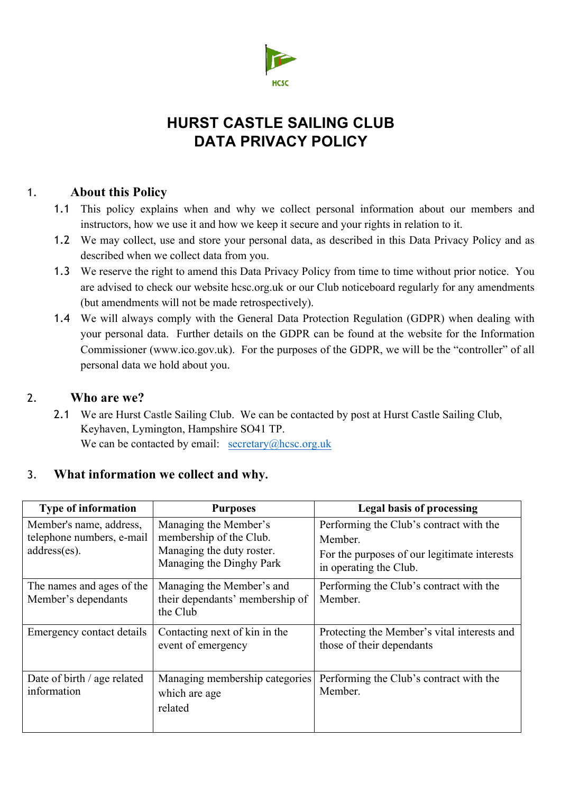

# **HURST CASTLE SAILING CLUB DATA PRIVACY POLICY**

## 1. **About this Policy**

- 1.1 This policy explains when and why we collect personal information about our members and instructors, how we use it and how we keep it secure and your rights in relation to it.
- 1.2 We may collect, use and store your personal data, as described in this Data Privacy Policy and as described when we collect data from you.
- 1.3 We reserve the right to amend this Data Privacy Policy from time to time without prior notice. You are advised to check our website hcsc.org.uk or our Club noticeboard regularly for any amendments (but amendments will not be made retrospectively).
- 1.4 We will always comply with the General Data Protection Regulation (GDPR) when dealing with your personal data. Further details on the GDPR can be found at the website for the Information Commissioner (www.ico.gov.uk). For the purposes of the GDPR, we will be the "controller" of all personal data we hold about you.

## 2. **Who are we?**

2.1 We are Hurst Castle Sailing Club. We can be contacted by post at Hurst Castle Sailing Club, Keyhaven, Lymington, Hampshire SO41 TP. We can be contacted by email:  $\secctary(a)$ hcsc.org.uk

## 3. **What information we collect and why.**

| <b>Type of information</b>                                           | <b>Purposes</b>                                                                                           | <b>Legal basis of processing</b>                                                                                             |
|----------------------------------------------------------------------|-----------------------------------------------------------------------------------------------------------|------------------------------------------------------------------------------------------------------------------------------|
| Member's name, address,<br>telephone numbers, e-mail<br>address(es). | Managing the Member's<br>membership of the Club.<br>Managing the duty roster.<br>Managing the Dinghy Park | Performing the Club's contract with the<br>Member.<br>For the purposes of our legitimate interests<br>in operating the Club. |
| The names and ages of the<br>Member's dependants                     | Managing the Member's and<br>their dependants' membership of<br>the Club                                  | Performing the Club's contract with the<br>Member.                                                                           |
| Emergency contact details                                            | Contacting next of kin in the<br>event of emergency                                                       | Protecting the Member's vital interests and<br>those of their dependants                                                     |
| Date of birth / age related<br>information                           | Managing membership categories<br>which are age<br>related                                                | Performing the Club's contract with the<br>Member.                                                                           |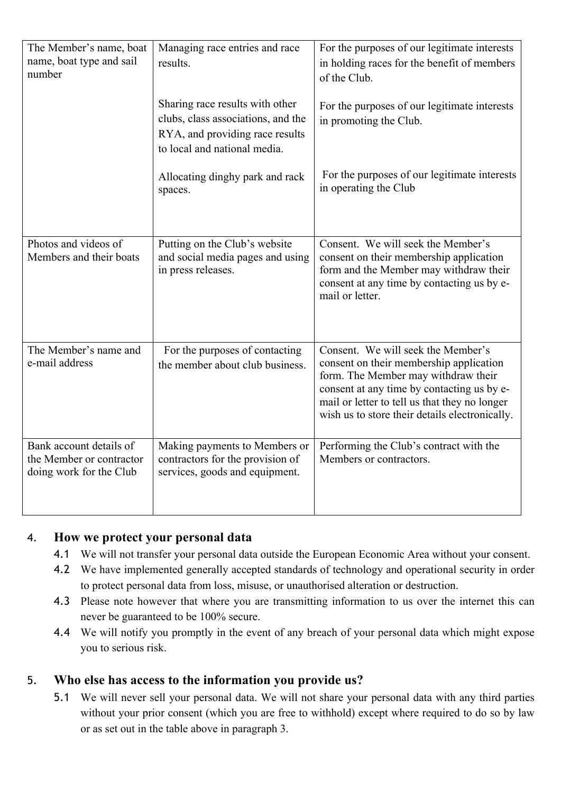| The Member's name, boat<br>name, boat type and sail<br>number                  | Managing race entries and race<br>results.                                                                                               | For the purposes of our legitimate interests<br>in holding races for the benefit of members<br>of the Club.                                                                                                                                                           |
|--------------------------------------------------------------------------------|------------------------------------------------------------------------------------------------------------------------------------------|-----------------------------------------------------------------------------------------------------------------------------------------------------------------------------------------------------------------------------------------------------------------------|
|                                                                                | Sharing race results with other<br>clubs, class associations, and the<br>RYA, and providing race results<br>to local and national media. | For the purposes of our legitimate interests<br>in promoting the Club.                                                                                                                                                                                                |
|                                                                                | Allocating dinghy park and rack<br>spaces.                                                                                               | For the purposes of our legitimate interests<br>in operating the Club                                                                                                                                                                                                 |
| Photos and videos of<br>Members and their boats                                | Putting on the Club's website<br>and social media pages and using<br>in press releases.                                                  | Consent. We will seek the Member's<br>consent on their membership application<br>form and the Member may withdraw their<br>consent at any time by contacting us by e-<br>mail or letter.                                                                              |
| The Member's name and<br>e-mail address                                        | For the purposes of contacting<br>the member about club business.                                                                        | Consent. We will seek the Member's<br>consent on their membership application<br>form. The Member may withdraw their<br>consent at any time by contacting us by e-<br>mail or letter to tell us that they no longer<br>wish us to store their details electronically. |
| Bank account details of<br>the Member or contractor<br>doing work for the Club | Making payments to Members or<br>contractors for the provision of<br>services, goods and equipment.                                      | Performing the Club's contract with the<br>Members or contractors.                                                                                                                                                                                                    |

### 4. **How we protect your personal data**

- 4.1 We will not transfer your personal data outside the European Economic Area without your consent.
- 4.2 We have implemented generally accepted standards of technology and operational security in order to protect personal data from loss, misuse, or unauthorised alteration or destruction.
- 4.3 Please note however that where you are transmitting information to us over the internet this can never be guaranteed to be 100% secure.
- 4.4 We will notify you promptly in the event of any breach of your personal data which might expose you to serious risk.

## 5. **Who else has access to the information you provide us?**

5.1 We will never sell your personal data. We will not share your personal data with any third parties without your prior consent (which you are free to withhold) except where required to do so by law or as set out in the table above in paragraph 3.